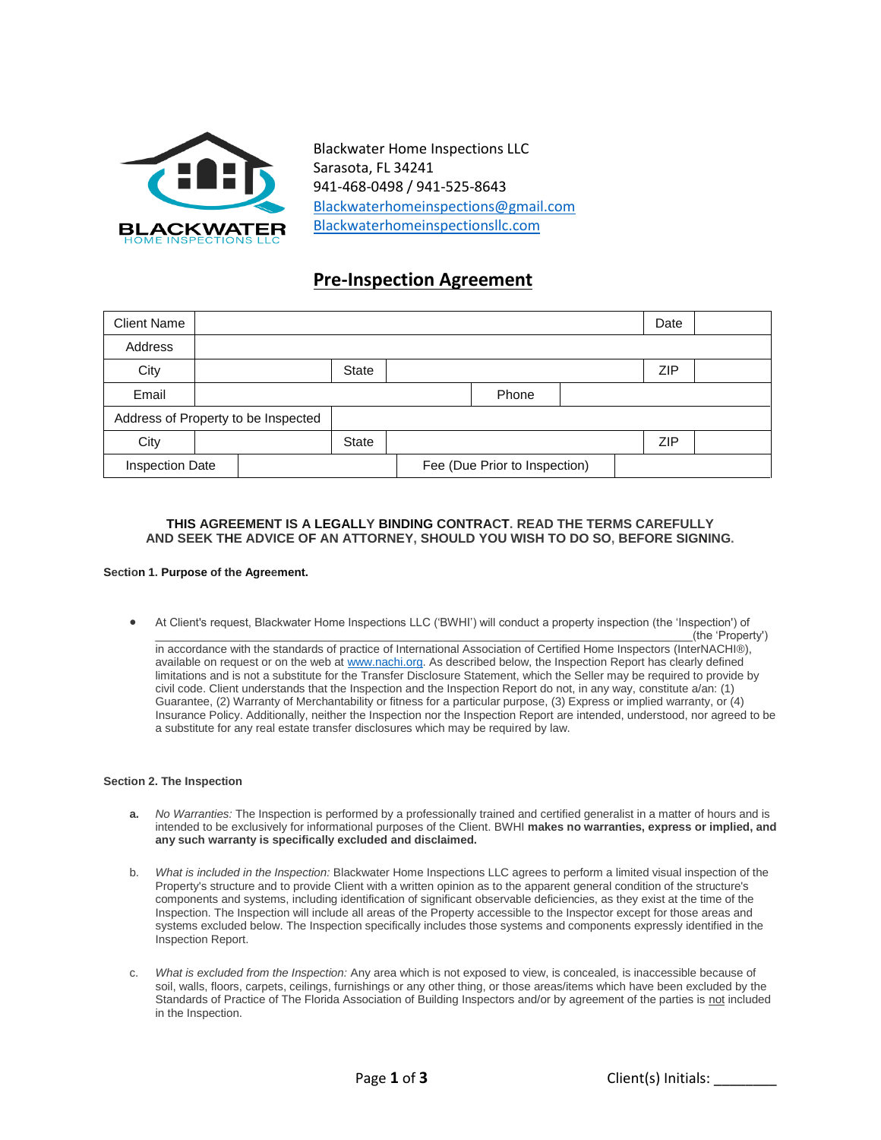

Blackwater Home Inspections LLC Sarasota, FL 34241 941-468-0498 / 941-525-8643 [Blackwaterhomeinspections@gmail.com](mailto:Blackwaterhomeinspections@gmail.com) Blackwaterhomeinspectionsllc.com

# **Pre-Inspection Agreement**

| <b>Client Name</b>     |  |                                     |              |                               |  |     | Date |  |
|------------------------|--|-------------------------------------|--------------|-------------------------------|--|-----|------|--|
| Address                |  |                                     |              |                               |  |     |      |  |
| City                   |  |                                     | <b>State</b> |                               |  |     | ZIP  |  |
| Email                  |  |                                     | Phone        |                               |  |     |      |  |
|                        |  | Address of Property to be Inspected |              |                               |  |     |      |  |
| City                   |  |                                     | <b>State</b> |                               |  | ZIP |      |  |
| <b>Inspection Date</b> |  |                                     |              | Fee (Due Prior to Inspection) |  |     |      |  |

## **THIS AGREEMENT IS A LEGALLY BINDING CONTRACT. READ THE TERMS CAREFULLY AND SEEK THE ADVICE OF AN ATTORNEY, SHOULD YOU WISH TO DO SO, BEFORE SIGNING.**

### **Section 1. Purpose of the Agreement.**

 At Client's request, Blackwater Home Inspections LLC ('BWHI') will conduct a property inspection (the 'Inspection') of \_\_\_\_\_\_\_\_\_\_\_\_\_\_\_\_\_\_\_\_\_\_\_\_\_\_\_\_\_\_\_\_\_\_\_\_\_\_\_\_\_\_\_\_\_\_\_\_\_\_\_\_\_\_\_\_\_\_\_\_\_\_\_\_\_\_\_\_\_\_\_\_\_\_\_\_\_\_\_\_\_\_\_\_(the 'Property')

in accordance with the standards of practice of International Association of Certified Home Inspectors [\(InterNACHI®\)](http://internachi®/), available on request or on the web a[t www.nachi.org.](http://www.nachi.org/) As described below, the Inspection Report has clearly defined limitations and is not a substitute for the Transfer Disclosure Statement, which the Seller may be required to provide by civil code. Client understands that the Inspection and the Inspection Report do not, in any way, constitute a/an: (1) Guarantee, (2) Warranty of Merchantability or fitness for a particular purpose, (3) Express or implied warranty, or (4) Insurance Policy. Additionally, neither the Inspection nor the Inspection Report are intended, understood, nor agreed to be a substitute for any real estate transfer disclosures which may be required by law.

### **Section 2. The Inspection**

- **a.** *No Warranties:* The Inspection is performed by a professionally trained and certified generalist in a matter of hours and is intended to be exclusively for informational purposes of the Client. BWHI **makes no warranties, express or implied, and any such warranty is specifically excluded and disclaimed.**
- b. *What is included in the Inspection:* Blackwater Home Inspections LLC agrees to perform a limited visual inspection of the Property's structure and to provide Client with a written opinion as to the apparent general condition of the structure's components and systems, including identification of significant observable deficiencies, as they exist at the time of the Inspection. The Inspection will include all areas of the Property accessible to the Inspector except for those areas and systems excluded below. The Inspection specifically includes those systems and components expressly identified in the Inspection Report.
- c. *What is excluded from the Inspection:* Any area which is not exposed to view, is concealed, is inaccessible because of soil, walls, floors, carpets, ceilings, furnishings or any other thing, or those areas/items which have been excluded by the Standards of Practice of The Florida Association of Building Inspectors and/or by agreement of the parties is not included in the Inspection.

Page **1** of **3** Client(s) Initials: \_\_\_\_\_\_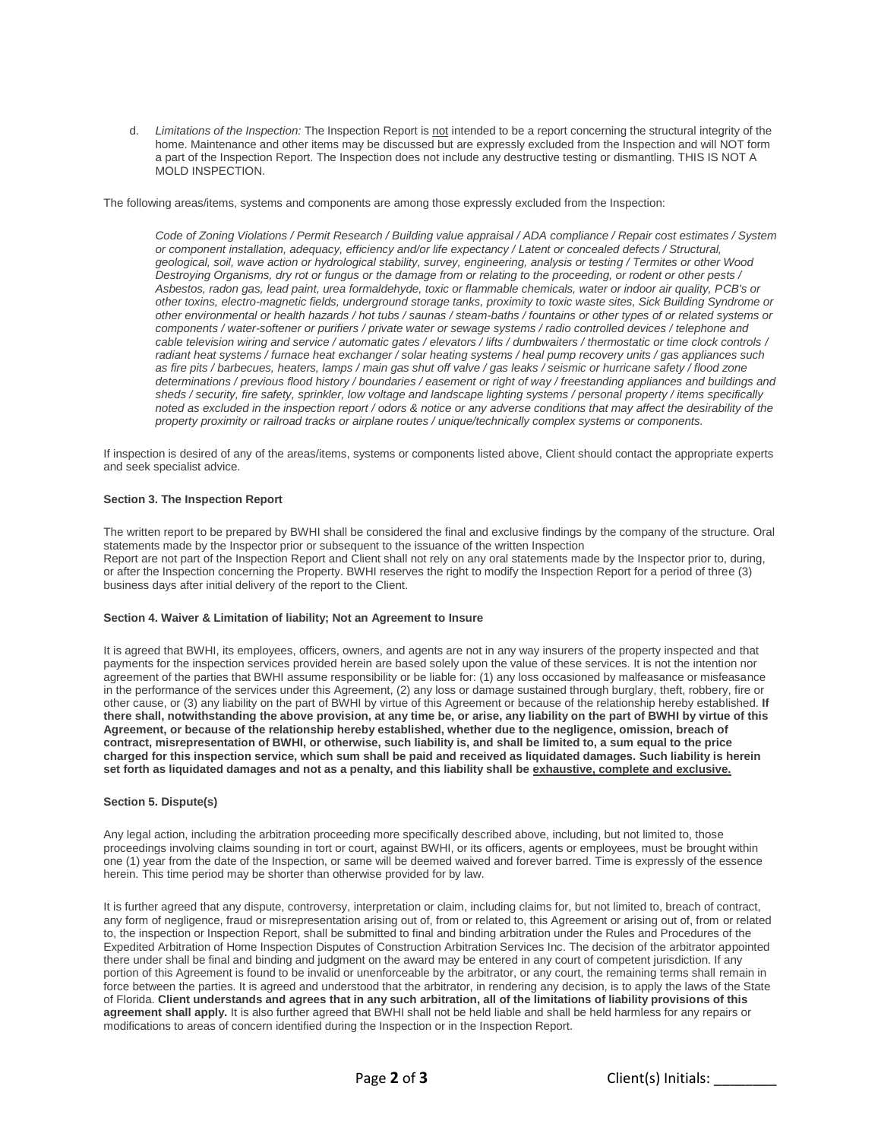d. *Limitations of the Inspection:* The Inspection Report is not intended to be a report concerning the structural integrity of the home. Maintenance and other items may be discussed but are expressly excluded from the Inspection and will NOT form a part of the Inspection Report. The Inspection does not include any destructive testing or dismantling. THIS IS NOT A MOLD INSPECTION.

The following areas/items, systems and components are among those expressly excluded from the Inspection:

*Code of Zoning Violations / Permit Research / Building value appraisal / ADA compliance / Repair cost estimates / System or component installation, adequacy, efficiency and/or life expectancy / Latent or concealed defects / Structural, geological, soil, wave action or hydrological stability, survey, engineering, analysis or testing / Termites or other Wood Destroying Organisms, dry rot or fungus or the damage from or relating to the proceeding, or rodent or other pests / Asbestos, radon gas, lead paint, urea formaldehyde, toxic or flammable chemicals, water or indoor air quality, PCB's or other toxins, electro-magnetic fields, underground storage tanks, proximity to toxic waste sites, Sick Building Syndrome or other environmental or health hazards / hot tubs / saunas / steam-baths / fountains or other types of or related systems or components / water-softener or purifiers / private water or sewage systems / radio controlled devices / telephone and cable television wiring and service / automatic gates / elevators / lifts / dumbwaiters / thermostatic or time clock controls / radiant heat systems / furnace heat exchanger / solar heating systems / heal pump recovery units / gas appliances such as fire pits / barbecues, heaters, lamps / main gas shut off valve / gas leaks / seismic or hurricane safety / flood zone determinations / previous flood history / boundaries / easement or right of way / freestanding appliances and buildings and sheds / security, fire safety, sprinkler, low voltage and landscape lighting systems / personal property / items specifically noted as excluded in the inspection report / odors & notice or any adverse conditions that may affect the desirability of the property proximity or railroad tracks or airplane routes / unique/technically complex systems or components.*

If inspection is desired of any of the areas/items, systems or components listed above, Client should contact the appropriate experts and seek specialist advice.

### **Section 3. The Inspection Report**

The written report to be prepared by BWHI shall be considered the final and exclusive findings by the company of the structure. Oral statements made by the Inspector prior or subsequent to the issuance of the written Inspection Report are not part of the Inspection Report and Client shall not rely on any oral statements made by the Inspector prior to, during, or after the Inspection concerning the Property. BWHI reserves the right to modify the Inspection Report for a period of three (3) business days after initial delivery of the report to the Client.

### **Section 4. Waiver & Limitation of liability; Not an Agreement to Insure**

It is agreed that BWHI, its employees, officers, owners, and agents are not in any way insurers of the property inspected and that payments for the inspection services provided herein are based solely upon the value of these services. It is not the intention nor agreement of the parties that BWHI assume responsibility or be liable for: (1) any loss occasioned by malfeasance or misfeasance in the performance of the services under this Agreement, (2) any loss or damage sustained through burglary, theft, robbery, fire or other cause, or (3) any liability on the part of BWHI by virtue of this Agreement or because of the relationship hereby established. **If there shall, notwithstanding the above provision, at any time be, or arise, any liability on the part of BWHI by virtue of this Agreement, or because of the relationship hereby established, whether due to the negligence, omission, breach of contract, misrepresentation of BWHI, or otherwise, such liability is, and shall be limited to, a sum equal to the price charged for this inspection service, which sum shall be paid and received as liquidated damages. Such liability is herein set forth as liquidated damages and not as a penalty, and this liability shall be exhaustive, complete and exclusive.**

#### **Section 5. Dispute(s)**

Any legal action, including the arbitration proceeding more specifically described above, including, but not limited to, those proceedings involving claims sounding in tort or court, against BWHI, or its officers, agents or employees, must be brought within one (1) year from the date of the Inspection, or same will be deemed waived and forever barred. Time is expressly of the essence herein. This time period may be shorter than otherwise provided for by law.

It is further agreed that any dispute, controversy, interpretation or claim, including claims for, but not limited to, breach of contract, any form of negligence, fraud or misrepresentation arising out of, from or related to, this Agreement or arising out of, from or related to, the inspection or Inspection Report, shall be submitted to final and binding arbitration under the Rules and Procedures of the Expedited Arbitration of Home Inspection Disputes of Construction Arbitration Services Inc. The decision of the arbitrator appointed there under shall be final and binding and judgment on the award may be entered in any court of competent jurisdiction. If any portion of this Agreement is found to be invalid or unenforceable by the arbitrator, or any court, the remaining terms shall remain in force between the parties. It is agreed and understood that the arbitrator, in rendering any decision, is to apply the laws of the State of Florida. **Client understands and agrees that in any such arbitration, all of the limitations of liability provisions of this agreement shall apply.** It is also further agreed that BWHI shall not be held liable and shall be held harmless for any repairs or modifications to areas of concern identified during the Inspection or in the Inspection Report.